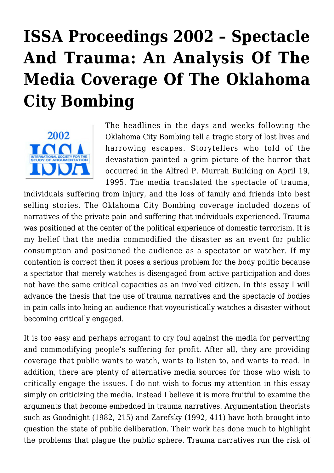# **[ISSA Proceedings 2002 – Spectacle](https://rozenbergquarterly.com/issa-proceedings-2002-spectacle-and-trauma-an-analysis-of-the-media-coverage-of-the-oklahoma-city-bombing/) [And Trauma: An Analysis Of The](https://rozenbergquarterly.com/issa-proceedings-2002-spectacle-and-trauma-an-analysis-of-the-media-coverage-of-the-oklahoma-city-bombing/) [Media Coverage Of The Oklahoma](https://rozenbergquarterly.com/issa-proceedings-2002-spectacle-and-trauma-an-analysis-of-the-media-coverage-of-the-oklahoma-city-bombing/) [City Bombing](https://rozenbergquarterly.com/issa-proceedings-2002-spectacle-and-trauma-an-analysis-of-the-media-coverage-of-the-oklahoma-city-bombing/)**



The headlines in the days and weeks following the Oklahoma City Bombing tell a tragic story of lost lives and harrowing escapes. Storytellers who told of the devastation painted a grim picture of the horror that occurred in the Alfred P. Murrah Building on April 19, 1995. The media translated the spectacle of trauma,

individuals suffering from injury, and the loss of family and friends into best selling stories. The Oklahoma City Bombing coverage included dozens of narratives of the private pain and suffering that individuals experienced. Trauma was positioned at the center of the political experience of domestic terrorism. It is my belief that the media commodified the disaster as an event for public consumption and positioned the audience as a spectator or watcher. If my contention is correct then it poses a serious problem for the body politic because a spectator that merely watches is disengaged from active participation and does not have the same critical capacities as an involved citizen. In this essay I will advance the thesis that the use of trauma narratives and the spectacle of bodies in pain calls into being an audience that voyeuristically watches a disaster without becoming critically engaged.

It is too easy and perhaps arrogant to cry foul against the media for perverting and commodifying people's suffering for profit. After all, they are providing coverage that public wants to watch, wants to listen to, and wants to read. In addition, there are plenty of alternative media sources for those who wish to critically engage the issues. I do not wish to focus my attention in this essay simply on criticizing the media. Instead I believe it is more fruitful to examine the arguments that become embedded in trauma narratives. Argumentation theorists such as Goodnight (1982, 215) and Zarefsky (1992, 411) have both brought into question the state of public deliberation. Their work has done much to highlight the problems that plague the public sphere. Trauma narratives run the risk of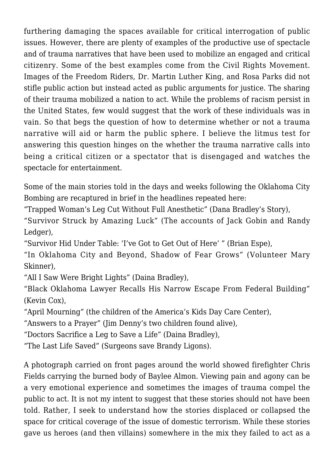furthering damaging the spaces available for critical interrogation of public issues. However, there are plenty of examples of the productive use of spectacle and of trauma narratives that have been used to mobilize an engaged and critical citizenry. Some of the best examples come from the Civil Rights Movement. Images of the Freedom Riders, Dr. Martin Luther King, and Rosa Parks did not stifle public action but instead acted as public arguments for justice. The sharing of their trauma mobilized a nation to act. While the problems of racism persist in the United States, few would suggest that the work of these individuals was in vain. So that begs the question of how to determine whether or not a trauma narrative will aid or harm the public sphere. I believe the litmus test for answering this question hinges on the whether the trauma narrative calls into being a critical citizen or a spectator that is disengaged and watches the spectacle for entertainment.

Some of the main stories told in the days and weeks following the Oklahoma City Bombing are recaptured in brief in the headlines repeated here:

"Trapped Woman's Leg Cut Without Full Anesthetic" (Dana Bradley's Story),

"Survivor Struck by Amazing Luck" (The accounts of Jack Gobin and Randy Ledger).

"Survivor Hid Under Table: 'I've Got to Get Out of Here' " (Brian Espe),

"In Oklahoma City and Beyond, Shadow of Fear Grows" (Volunteer Mary Skinner),

"All I Saw Were Bright Lights" (Daina Bradley),

"Black Oklahoma Lawyer Recalls His Narrow Escape From Federal Building" (Kevin Cox),

"April Mourning" (the children of the America's Kids Day Care Center),

"Answers to a Prayer" (Jim Denny's two children found alive),

"Doctors Sacrifice a Leg to Save a Life" (Daina Bradley),

"The Last Life Saved" (Surgeons save Brandy Ligons).

A photograph carried on front pages around the world showed firefighter Chris Fields carrying the burned body of Baylee Almon. Viewing pain and agony can be a very emotional experience and sometimes the images of trauma compel the public to act. It is not my intent to suggest that these stories should not have been told. Rather, I seek to understand how the stories displaced or collapsed the space for critical coverage of the issue of domestic terrorism. While these stories gave us heroes (and then villains) somewhere in the mix they failed to act as a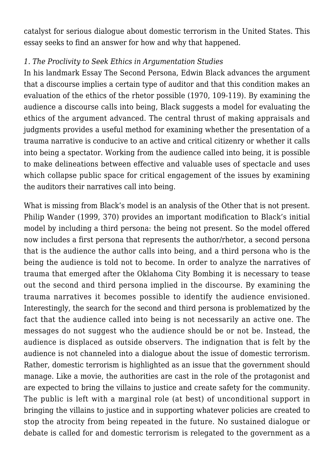catalyst for serious dialogue about domestic terrorism in the United States. This essay seeks to find an answer for how and why that happened.

### *1. The Proclivity to Seek Ethics in Argumentation Studies*

In his landmark Essay The Second Persona, Edwin Black advances the argument that a discourse implies a certain type of auditor and that this condition makes an evaluation of the ethics of the rhetor possible (1970, 109-119). By examining the audience a discourse calls into being, Black suggests a model for evaluating the ethics of the argument advanced. The central thrust of making appraisals and judgments provides a useful method for examining whether the presentation of a trauma narrative is conducive to an active and critical citizenry or whether it calls into being a spectator. Working from the audience called into being, it is possible to make delineations between effective and valuable uses of spectacle and uses which collapse public space for critical engagement of the issues by examining the auditors their narratives call into being.

What is missing from Black's model is an analysis of the Other that is not present. Philip Wander (1999, 370) provides an important modification to Black's initial model by including a third persona: the being not present. So the model offered now includes a first persona that represents the author/rhetor, a second persona that is the audience the author calls into being, and a third persona who is the being the audience is told not to become. In order to analyze the narratives of trauma that emerged after the Oklahoma City Bombing it is necessary to tease out the second and third persona implied in the discourse. By examining the trauma narratives it becomes possible to identify the audience envisioned. Interestingly, the search for the second and third persona is problematized by the fact that the audience called into being is not necessarily an active one. The messages do not suggest who the audience should be or not be. Instead, the audience is displaced as outside observers. The indignation that is felt by the audience is not channeled into a dialogue about the issue of domestic terrorism. Rather, domestic terrorism is highlighted as an issue that the government should manage. Like a movie, the authorities are cast in the role of the protagonist and are expected to bring the villains to justice and create safety for the community. The public is left with a marginal role (at best) of unconditional support in bringing the villains to justice and in supporting whatever policies are created to stop the atrocity from being repeated in the future. No sustained dialogue or debate is called for and domestic terrorism is relegated to the government as a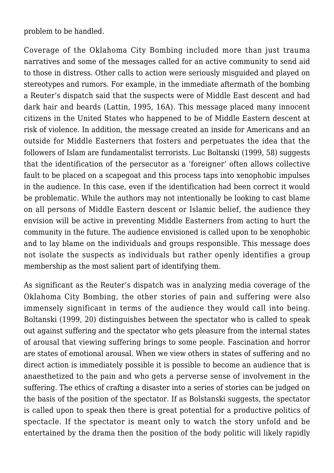problem to be handled.

Coverage of the Oklahoma City Bombing included more than just trauma narratives and some of the messages called for an active community to send aid to those in distress. Other calls to action were seriously misguided and played on stereotypes and rumors. For example, in the immediate aftermath of the bombing a Reuter's dispatch said that the suspects were of Middle East descent and had dark hair and beards (Lattin, 1995, 16A). This message placed many innocent citizens in the United States who happened to be of Middle Eastern descent at risk of violence. In addition, the message created an inside for Americans and an outside for Middle Easterners that fosters and perpetuates the idea that the followers of Islam are fundamentalist terrorists. Luc Boltanski (1999, 58) suggests that the identification of the persecutor as a 'foreigner' often allows collective fault to be placed on a scapegoat and this process taps into xenophobic impulses in the audience. In this case, even if the identification had been correct it would be problematic. While the authors may not intentionally be looking to cast blame on all persons of Middle Eastern descent or Islamic belief, the audience they envision will be active in preventing Middle Easterners from acting to hurt the community in the future. The audience envisioned is called upon to be xenophobic and to lay blame on the individuals and groups responsible. This message does not isolate the suspects as individuals but rather openly identifies a group membership as the most salient part of identifying them.

As significant as the Reuter's dispatch was in analyzing media coverage of the Oklahoma City Bombing, the other stories of pain and suffering were also immensely significant in terms of the audience they would call into being. Boltanski (1999, 20) distinguishes between the spectator who is called to speak out against suffering and the spectator who gets pleasure from the internal states of arousal that viewing suffering brings to some people. Fascination and horror are states of emotional arousal. When we view others in states of suffering and no direct action is immediately possible it is possible to become an audience that is anaesthetized to the pain and who gets a perverse sense of involvement in the suffering. The ethics of crafting a disaster into a series of stories can be judged on the basis of the position of the spectator. If as Bolstanski suggests, the spectator is called upon to speak then there is great potential for a productive politics of spectacle. If the spectator is meant only to watch the story unfold and be entertained by the drama then the position of the body politic will likely rapidly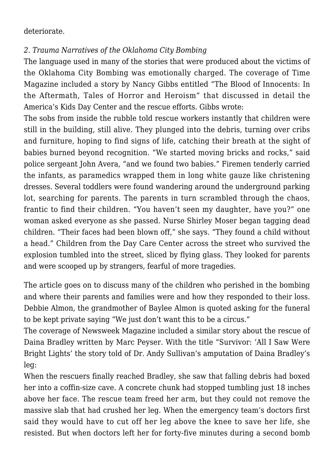#### deteriorate.

## *2. Trauma Narratives of the Oklahoma City Bombing*

The language used in many of the stories that were produced about the victims of the Oklahoma City Bombing was emotionally charged. The coverage of Time Magazine included a story by Nancy Gibbs entitled "The Blood of Innocents: In the Aftermath, Tales of Horror and Heroism" that discussed in detail the America's Kids Day Center and the rescue efforts. Gibbs wrote:

The sobs from inside the rubble told rescue workers instantly that children were still in the building, still alive. They plunged into the debris, turning over cribs and furniture, hoping to find signs of life, catching their breath at the sight of babies burned beyond recognition. "We started moving bricks and rocks," said police sergeant John Avera, "and we found two babies." Firemen tenderly carried the infants, as paramedics wrapped them in long white gauze like christening dresses. Several toddlers were found wandering around the underground parking lot, searching for parents. The parents in turn scrambled through the chaos, frantic to find their children. "You haven't seen my daughter, have you?" one woman asked everyone as she passed. Nurse Shirley Moser began tagging dead children. "Their faces had been blown off," she says. "They found a child without a head." Children from the Day Care Center across the street who survived the explosion tumbled into the street, sliced by flying glass. They looked for parents and were scooped up by strangers, fearful of more tragedies.

The article goes on to discuss many of the children who perished in the bombing and where their parents and families were and how they responded to their loss. Debbie Almon, the grandmother of Baylee Almon is quoted asking for the funeral to be kept private saying "We just don't want this to be a circus."

The coverage of Newsweek Magazine included a similar story about the rescue of Daina Bradley written by Marc Peyser. With the title "Survivor: 'All I Saw Were Bright Lights' the story told of Dr. Andy Sullivan's amputation of Daina Bradley's leg:

When the rescuers finally reached Bradley, she saw that falling debris had boxed her into a coffin-size cave. A concrete chunk had stopped tumbling just 18 inches above her face. The rescue team freed her arm, but they could not remove the massive slab that had crushed her leg. When the emergency team's doctors first said they would have to cut off her leg above the knee to save her life, she resisted. But when doctors left her for forty-five minutes during a second bomb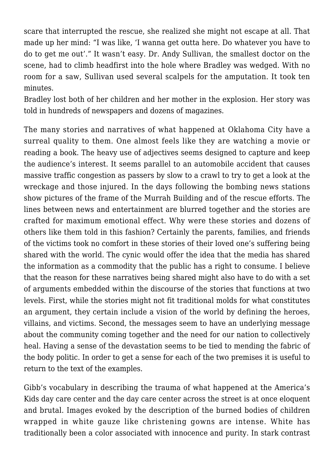scare that interrupted the rescue, she realized she might not escape at all. That made up her mind: "I was like, 'I wanna get outta here. Do whatever you have to do to get me out'." It wasn't easy. Dr. Andy Sullivan, the smallest doctor on the scene, had to climb headfirst into the hole where Bradley was wedged. With no room for a saw, Sullivan used several scalpels for the amputation. It took ten minutes.

Bradley lost both of her children and her mother in the explosion. Her story was told in hundreds of newspapers and dozens of magazines.

The many stories and narratives of what happened at Oklahoma City have a surreal quality to them. One almost feels like they are watching a movie or reading a book. The heavy use of adjectives seems designed to capture and keep the audience's interest. It seems parallel to an automobile accident that causes massive traffic congestion as passers by slow to a crawl to try to get a look at the wreckage and those injured. In the days following the bombing news stations show pictures of the frame of the Murrah Building and of the rescue efforts. The lines between news and entertainment are blurred together and the stories are crafted for maximum emotional effect. Why were these stories and dozens of others like them told in this fashion? Certainly the parents, families, and friends of the victims took no comfort in these stories of their loved one's suffering being shared with the world. The cynic would offer the idea that the media has shared the information as a commodity that the public has a right to consume. I believe that the reason for these narratives being shared might also have to do with a set of arguments embedded within the discourse of the stories that functions at two levels. First, while the stories might not fit traditional molds for what constitutes an argument, they certain include a vision of the world by defining the heroes, villains, and victims. Second, the messages seem to have an underlying message about the community coming together and the need for our nation to collectively heal. Having a sense of the devastation seems to be tied to mending the fabric of the body politic. In order to get a sense for each of the two premises it is useful to return to the text of the examples.

Gibb's vocabulary in describing the trauma of what happened at the America's Kids day care center and the day care center across the street is at once eloquent and brutal. Images evoked by the description of the burned bodies of children wrapped in white gauze like christening gowns are intense. White has traditionally been a color associated with innocence and purity. In stark contrast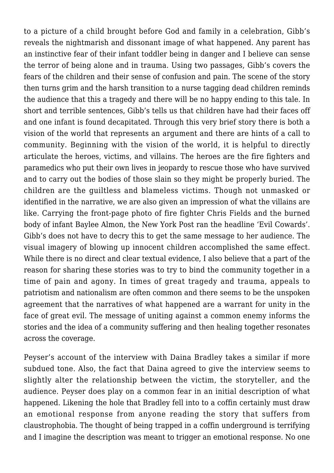to a picture of a child brought before God and family in a celebration, Gibb's reveals the nightmarish and dissonant image of what happened. Any parent has an instinctive fear of their infant toddler being in danger and I believe can sense the terror of being alone and in trauma. Using two passages, Gibb's covers the fears of the children and their sense of confusion and pain. The scene of the story then turns grim and the harsh transition to a nurse tagging dead children reminds the audience that this a tragedy and there will be no happy ending to this tale. In short and terrible sentences, Gibb's tells us that children have had their faces off and one infant is found decapitated. Through this very brief story there is both a vision of the world that represents an argument and there are hints of a call to community. Beginning with the vision of the world, it is helpful to directly articulate the heroes, victims, and villains. The heroes are the fire fighters and paramedics who put their own lives in jeopardy to rescue those who have survived and to carry out the bodies of those slain so they might be properly buried. The children are the guiltless and blameless victims. Though not unmasked or identified in the narrative, we are also given an impression of what the villains are like. Carrying the front-page photo of fire fighter Chris Fields and the burned body of infant Baylee Almon, the New York Post ran the headline 'Evil Cowards'. Gibb's does not have to decry this to get the same message to her audience. The visual imagery of blowing up innocent children accomplished the same effect. While there is no direct and clear textual evidence, I also believe that a part of the reason for sharing these stories was to try to bind the community together in a time of pain and agony. In times of great tragedy and trauma, appeals to patriotism and nationalism are often common and there seems to be the unspoken agreement that the narratives of what happened are a warrant for unity in the face of great evil. The message of uniting against a common enemy informs the stories and the idea of a community suffering and then healing together resonates across the coverage.

Peyser's account of the interview with Daina Bradley takes a similar if more subdued tone. Also, the fact that Daina agreed to give the interview seems to slightly alter the relationship between the victim, the storyteller, and the audience. Peyser does play on a common fear in an initial description of what happened. Likening the hole that Bradley fell into to a coffin certainly must draw an emotional response from anyone reading the story that suffers from claustrophobia. The thought of being trapped in a coffin underground is terrifying and I imagine the description was meant to trigger an emotional response. No one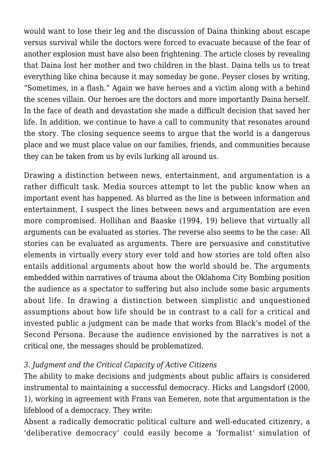would want to lose their leg and the discussion of Daina thinking about escape versus survival while the doctors were forced to evacuate because of the fear of another explosion must have also been frightening. The article closes by revealing that Daina lost her mother and two children in the blast. Daina tells us to treat everything like china because it may someday be gone. Peyser closes by writing, "Sometimes, in a flash." Again we have heroes and a victim along with a behind the scenes villain. Our heroes are the doctors and more importantly Daina herself. In the face of death and devastation she made a difficult decision that saved her life. In addition, we continue to have a call to community that resonates around the story. The closing sequence seems to argue that the world is a dangerous place and we must place value on our families, friends, and communities because they can be taken from us by evils lurking all around us.

Drawing a distinction between news, entertainment, and argumentation is a rather difficult task. Media sources attempt to let the public know when an important event has happened. As blurred as the line is between information and entertainment, I suspect the lines between news and argumentation are even more compromised. Hollihan and Baaske (1994, 19) believe that virtually all arguments can be evaluated as stories. The reverse also seems to be the case: All stories can be evaluated as arguments. There are persuasive and constitutive elements in virtually every story ever told and how stories are told often also entails additional arguments about how the world should be. The arguments embedded within narratives of trauma about the Oklahoma City Bombing position the audience as a spectator to suffering but also include some basic arguments about life. In drawing a distinction between simplistic and unquestioned assumptions about how life should be in contrast to a call for a critical and invested public a judgment can be made that works from Black's model of the Second Persona. Because the audience envisioned by the narratives is not a critical one, the messages should be problematized.

### *3. Judgment and the Critical Capacity of Active Citizens*

The ability to make decisions and judgments about public affairs is considered instrumental to maintaining a successful democracy. Hicks and Langsdorf (2000, 1), working in agreement with Frans van Eemeren, note that argumentation is the lifeblood of a democracy. They write:

Absent a radically democratic political culture and well-educated citizenry, a 'deliberative democracy' could easily become a 'formalist' simulation of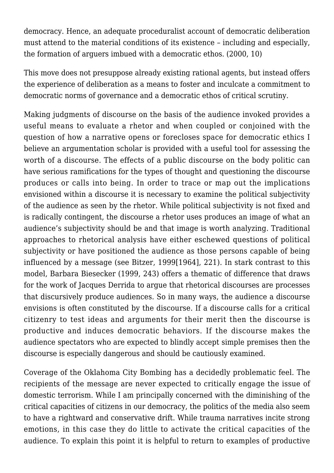democracy. Hence, an adequate proceduralist account of democratic deliberation must attend to the material conditions of its existence – including and especially, the formation of arguers imbued with a democratic ethos. (2000, 10)

This move does not presuppose already existing rational agents, but instead offers the experience of deliberation as a means to foster and inculcate a commitment to democratic norms of governance and a democratic ethos of critical scrutiny.

Making judgments of discourse on the basis of the audience invoked provides a useful means to evaluate a rhetor and when coupled or conjoined with the question of how a narrative opens or forecloses space for democratic ethics I believe an argumentation scholar is provided with a useful tool for assessing the worth of a discourse. The effects of a public discourse on the body politic can have serious ramifications for the types of thought and questioning the discourse produces or calls into being. In order to trace or map out the implications envisioned within a discourse it is necessary to examine the political subjectivity of the audience as seen by the rhetor. While political subjectivity is not fixed and is radically contingent, the discourse a rhetor uses produces an image of what an audience's subjectivity should be and that image is worth analyzing. Traditional approaches to rhetorical analysis have either eschewed questions of political subjectivity or have positioned the audience as those persons capable of being influenced by a message (see Bitzer, 1999[1964], 221). In stark contrast to this model, Barbara Biesecker (1999, 243) offers a thematic of difference that draws for the work of Jacques Derrida to argue that rhetorical discourses are processes that discursively produce audiences. So in many ways, the audience a discourse envisions is often constituted by the discourse. If a discourse calls for a critical citizenry to test ideas and arguments for their merit then the discourse is productive and induces democratic behaviors. If the discourse makes the audience spectators who are expected to blindly accept simple premises then the discourse is especially dangerous and should be cautiously examined.

Coverage of the Oklahoma City Bombing has a decidedly problematic feel. The recipients of the message are never expected to critically engage the issue of domestic terrorism. While I am principally concerned with the diminishing of the critical capacities of citizens in our democracy, the politics of the media also seem to have a rightward and conservative drift. While trauma narratives incite strong emotions, in this case they do little to activate the critical capacities of the audience. To explain this point it is helpful to return to examples of productive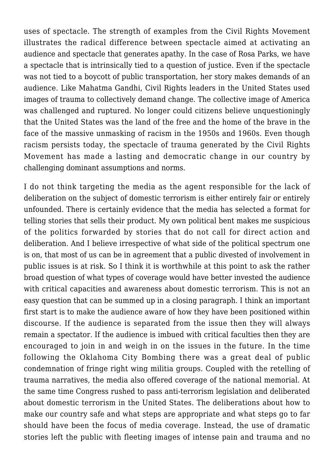uses of spectacle. The strength of examples from the Civil Rights Movement illustrates the radical difference between spectacle aimed at activating an audience and spectacle that generates apathy. In the case of Rosa Parks, we have a spectacle that is intrinsically tied to a question of justice. Even if the spectacle was not tied to a boycott of public transportation, her story makes demands of an audience. Like Mahatma Gandhi, Civil Rights leaders in the United States used images of trauma to collectively demand change. The collective image of America was challenged and ruptured. No longer could citizens believe unquestioningly that the United States was the land of the free and the home of the brave in the face of the massive unmasking of racism in the 1950s and 1960s. Even though racism persists today, the spectacle of trauma generated by the Civil Rights Movement has made a lasting and democratic change in our country by challenging dominant assumptions and norms.

I do not think targeting the media as the agent responsible for the lack of deliberation on the subject of domestic terrorism is either entirely fair or entirely unfounded. There is certainly evidence that the media has selected a format for telling stories that sells their product. My own political bent makes me suspicious of the politics forwarded by stories that do not call for direct action and deliberation. And I believe irrespective of what side of the political spectrum one is on, that most of us can be in agreement that a public divested of involvement in public issues is at risk. So I think it is worthwhile at this point to ask the rather broad question of what types of coverage would have better invested the audience with critical capacities and awareness about domestic terrorism. This is not an easy question that can be summed up in a closing paragraph. I think an important first start is to make the audience aware of how they have been positioned within discourse. If the audience is separated from the issue then they will always remain a spectator. If the audience is imbued with critical faculties then they are encouraged to join in and weigh in on the issues in the future. In the time following the Oklahoma City Bombing there was a great deal of public condemnation of fringe right wing militia groups. Coupled with the retelling of trauma narratives, the media also offered coverage of the national memorial. At the same time Congress rushed to pass anti-terrorism legislation and deliberated about domestic terrorism in the United States. The deliberations about how to make our country safe and what steps are appropriate and what steps go to far should have been the focus of media coverage. Instead, the use of dramatic stories left the public with fleeting images of intense pain and trauma and no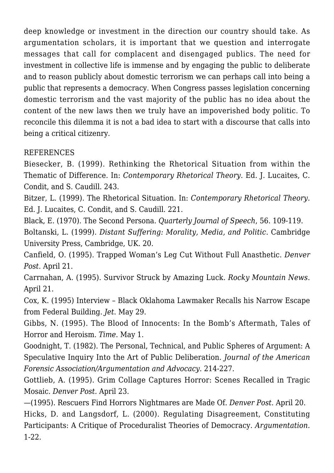deep knowledge or investment in the direction our country should take. As argumentation scholars, it is important that we question and interrogate messages that call for complacent and disengaged publics. The need for investment in collective life is immense and by engaging the public to deliberate and to reason publicly about domestic terrorism we can perhaps call into being a public that represents a democracy. When Congress passes legislation concerning domestic terrorism and the vast majority of the public has no idea about the content of the new laws then we truly have an impoverished body politic. To reconcile this dilemma it is not a bad idea to start with a discourse that calls into being a critical citizenry.

# **REFERENCES**

Biesecker, B. (1999). Rethinking the Rhetorical Situation from within the Thematic of Difference. In: *Contemporary Rhetorical Theory*. Ed. J. Lucaites, C. Condit, and S. Caudill. 243.

Bitzer, L. (1999). The Rhetorical Situation. In: *Contemporary Rhetorical Theory*. Ed. J. Lucaites, C. Condit, and S. Caudill. 221.

Black, E. (1970). The Second Persona. *Quarterly Journal of Speech*, 56. 109-119.

Boltanski, L. (1999). *Distant Suffering: Morality, Media, and Politic*. Cambridge University Press, Cambridge, UK. 20.

Canfield, O. (1995). Trapped Woman's Leg Cut Without Full Anasthetic. *Denver Post*. April 21.

Carrnahan, A. (1995). Survivor Struck by Amazing Luck. *Rocky Mountain News*. April 21.

Cox, K. (1995) Interview – Black Oklahoma Lawmaker Recalls his Narrow Escape from Federal Building. *Jet*. May 29.

Gibbs, N. (1995). The Blood of Innocents: In the Bomb's Aftermath, Tales of Horror and Heroism. *Time*. May 1.

Goodnight, T. (1982). The Personal, Technical, and Public Spheres of Argument: A Speculative Inquiry Into the Art of Public Deliberation. *Journal of the American Forensic Association/Argumentation and Advocacy*. 214-227.

Gottlieb, A. (1995). Grim Collage Captures Horror: Scenes Recalled in Tragic Mosaic. *Denver Post.* April 23.

—(1995). Rescuers Find Horrors Nightmares are Made Of. *Denver Post*. April 20. Hicks, D. and Langsdorf, L. (2000). Regulating Disagreement, Constituting Participants: A Critique of Proceduralist Theories of Democracy. *Argumentation.* 1-22.